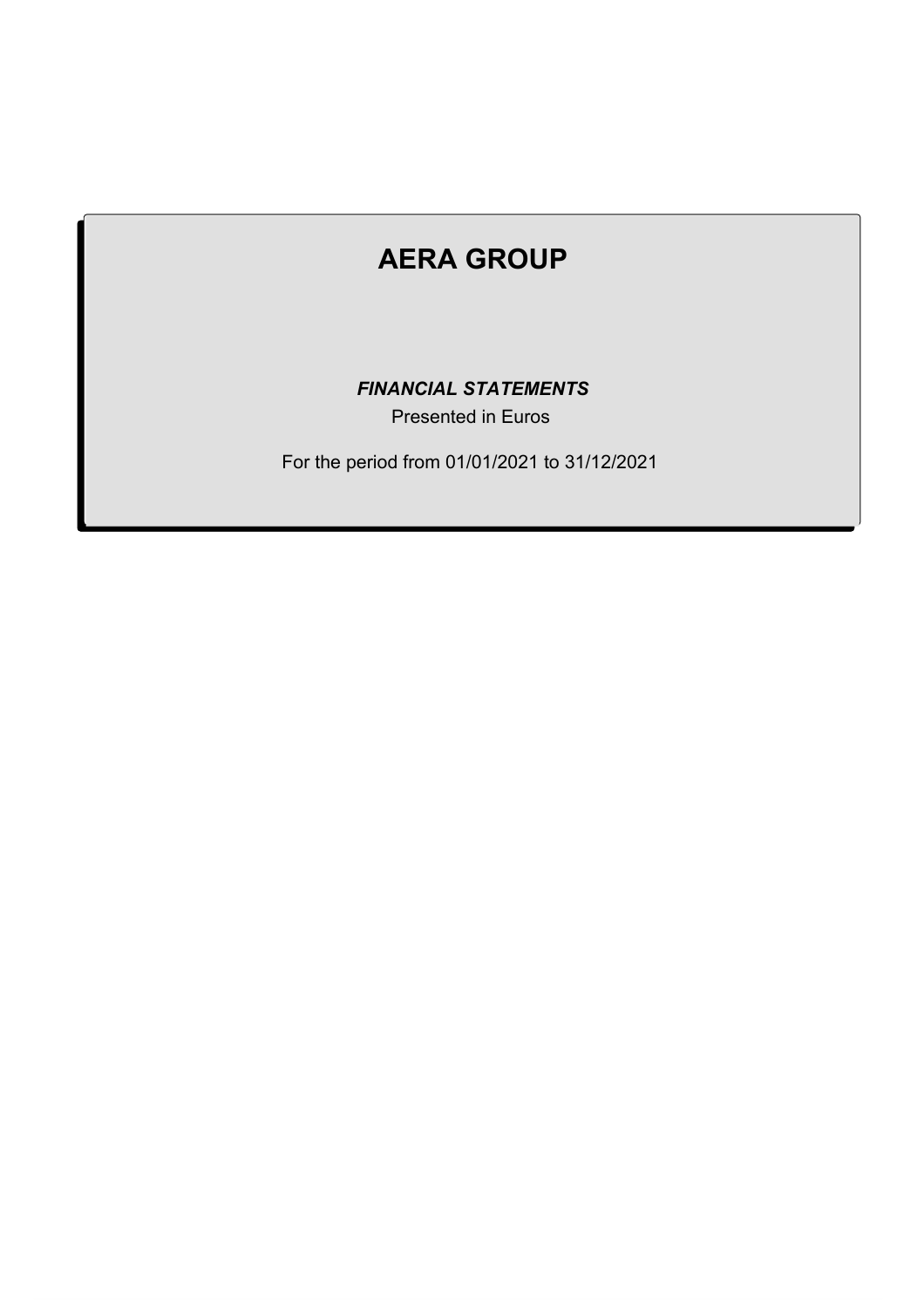# **AERA GROUP AERA GROUP**

**EINANCIAL STATEMENTS** 

Presented in Euros

For the period from 01/01/2021 to 31/12/2021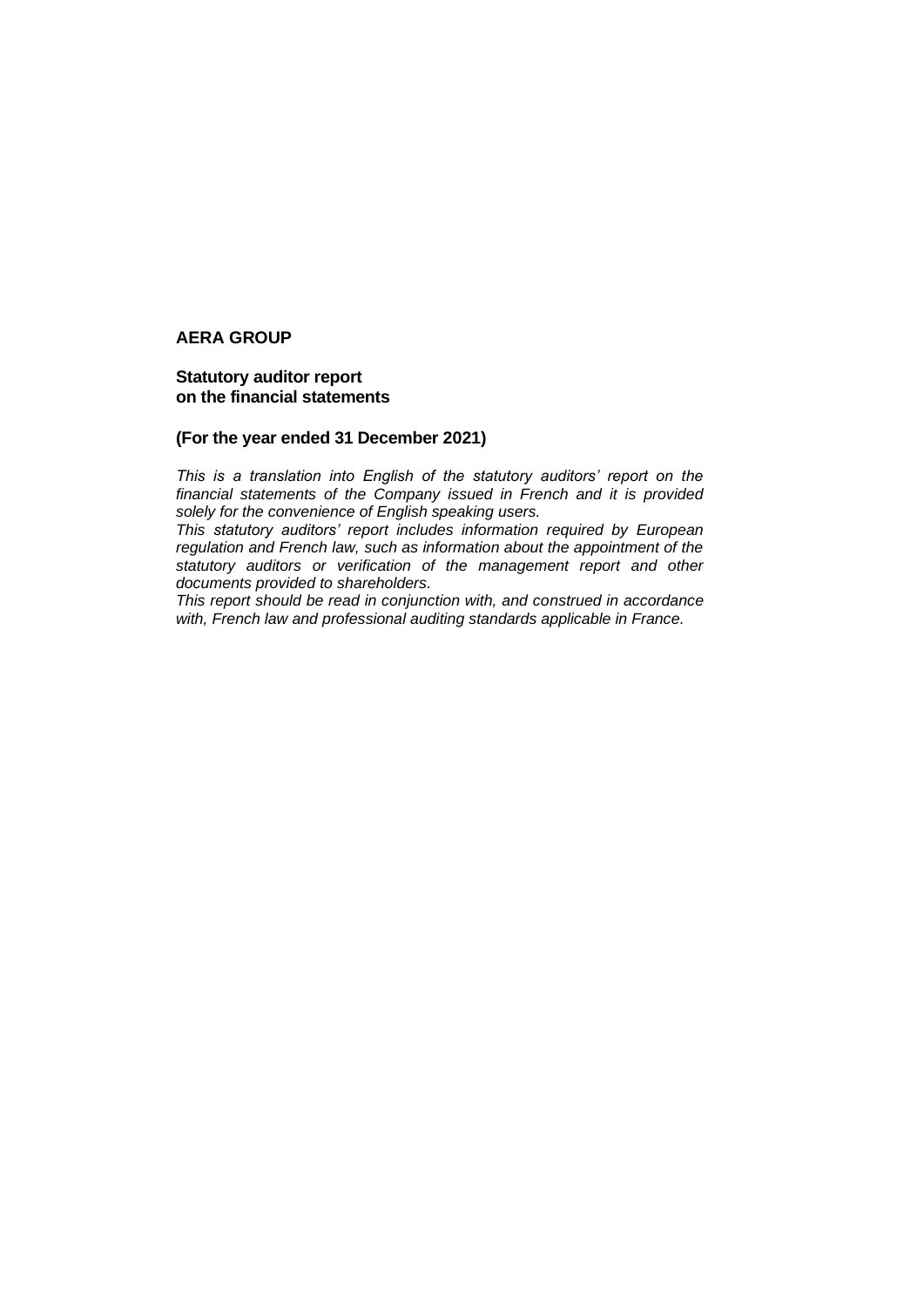#### **Statutory auditor report on the financial statements**

#### **(For the year ended 31 December 2021)**

*This is a translation into English of the statutory auditors' report on the financial statements of the Company issued in French and it is provided solely for the convenience of English speaking users.*

*This statutory auditors' report includes information required by European regulation and French law, such as information about the appointment of the statutory auditors or verification of the management report and other documents provided to shareholders.*

*This report should be read in conjunction with, and construed in accordance with, French law and professional auditing standards applicable in France.*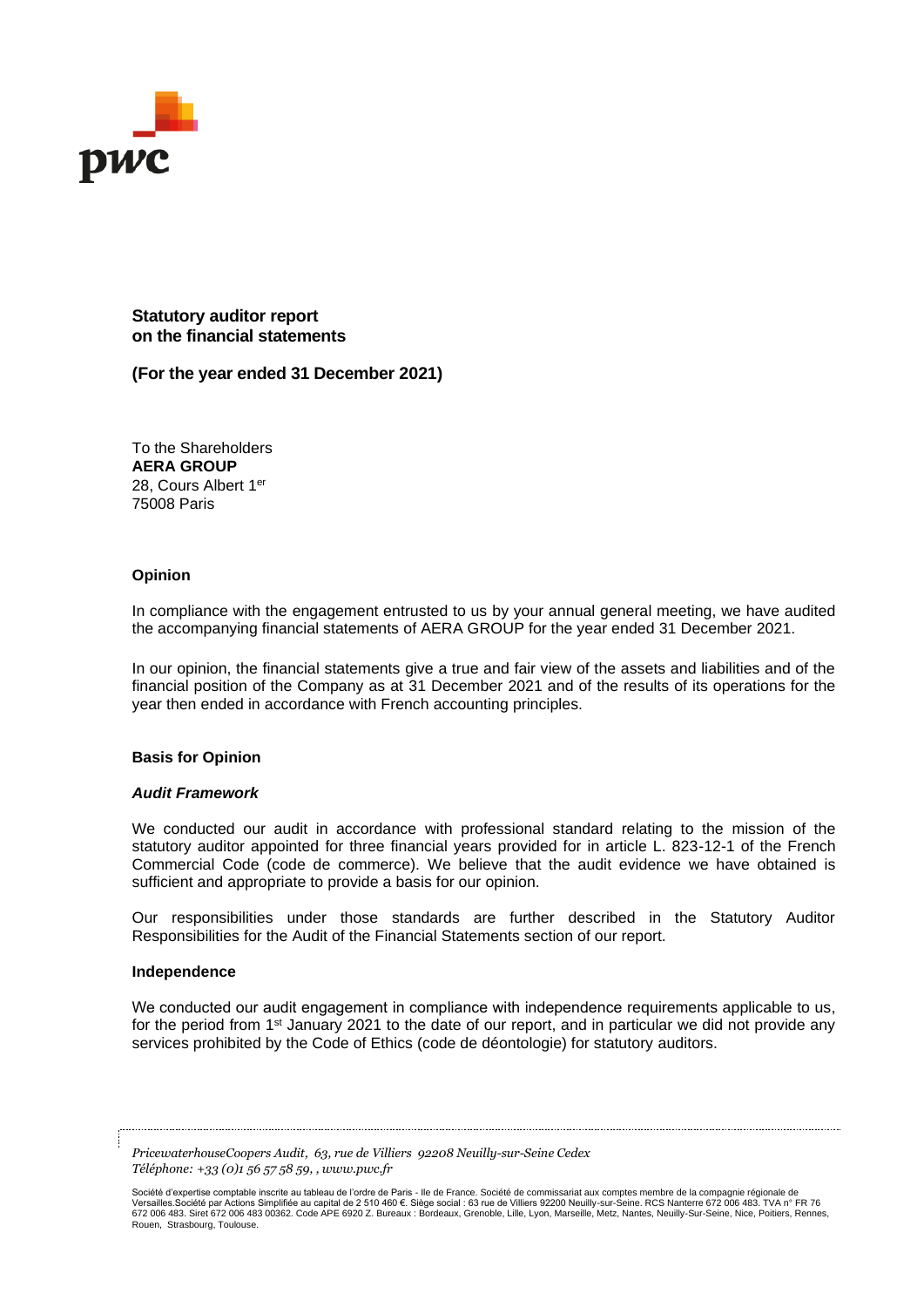

**Statutory auditor report on the financial statements**

**(For the year ended 31 December 2021)**

To the Shareholders **AERA GROUP** 28, Cours Albert 1er 75008 Paris

#### **Opinion**

In compliance with the engagement entrusted to us by your annual general meeting, we have audited the accompanying financial statements of AERA GROUP for the year ended 31 December 2021.

In our opinion, the financial statements give a true and fair view of the assets and liabilities and of the financial position of the Company as at 31 December 2021 and of the results of its operations for the year then ended in accordance with French accounting principles.

#### **Basis for Opinion**

#### *Audit Framework*

We conducted our audit in accordance with professional standard relating to the mission of the statutory auditor appointed for three financial years provided for in article L. 823-12-1 of the French Commercial Code (code de commerce). We believe that the audit evidence we have obtained is sufficient and appropriate to provide a basis for our opinion.

Our responsibilities under those standards are further described in the Statutory Auditor Responsibilities for the Audit of the Financial Statements section of our report.

#### **Independence**

We conducted our audit engagement in compliance with independence requirements applicable to us, for the period from 1<sup>st</sup> January 2021 to the date of our report, and in particular we did not provide any services prohibited by the Code of Ethics (code de déontologie) for statutory auditors.

*PricewaterhouseCoopers Audit, 63, rue de Villiers 92208 Neuilly-sur-Seine Cedex Téléphone: +33 (0)1 56 57 58 59, , www.pwc.fr*

Société d'expertise comptable inscrite au tableau de l'ordre de Paris - lle de France. Société de commissariat aux comptes membre de la compagnie régionale de Versailles.Société par Actions Simplifiée au capital de 2 510 460 €. Siège social : 63 rue de Villiers 92200 Neuilly-sur-Seine. RCS Nanterre 672 006 483. TVA n° FR 76 672 006 483. Siret 672 006 483 00362. Code APE 6920 Z. Bureaux : Bordeaux, Grenoble, Lille, Lyon, Marseille, Metz, Nantes, Neuilly-Sur-Seine, Nice, Poitiers, Rennes, Rouen, Strasbourg, Toulouse.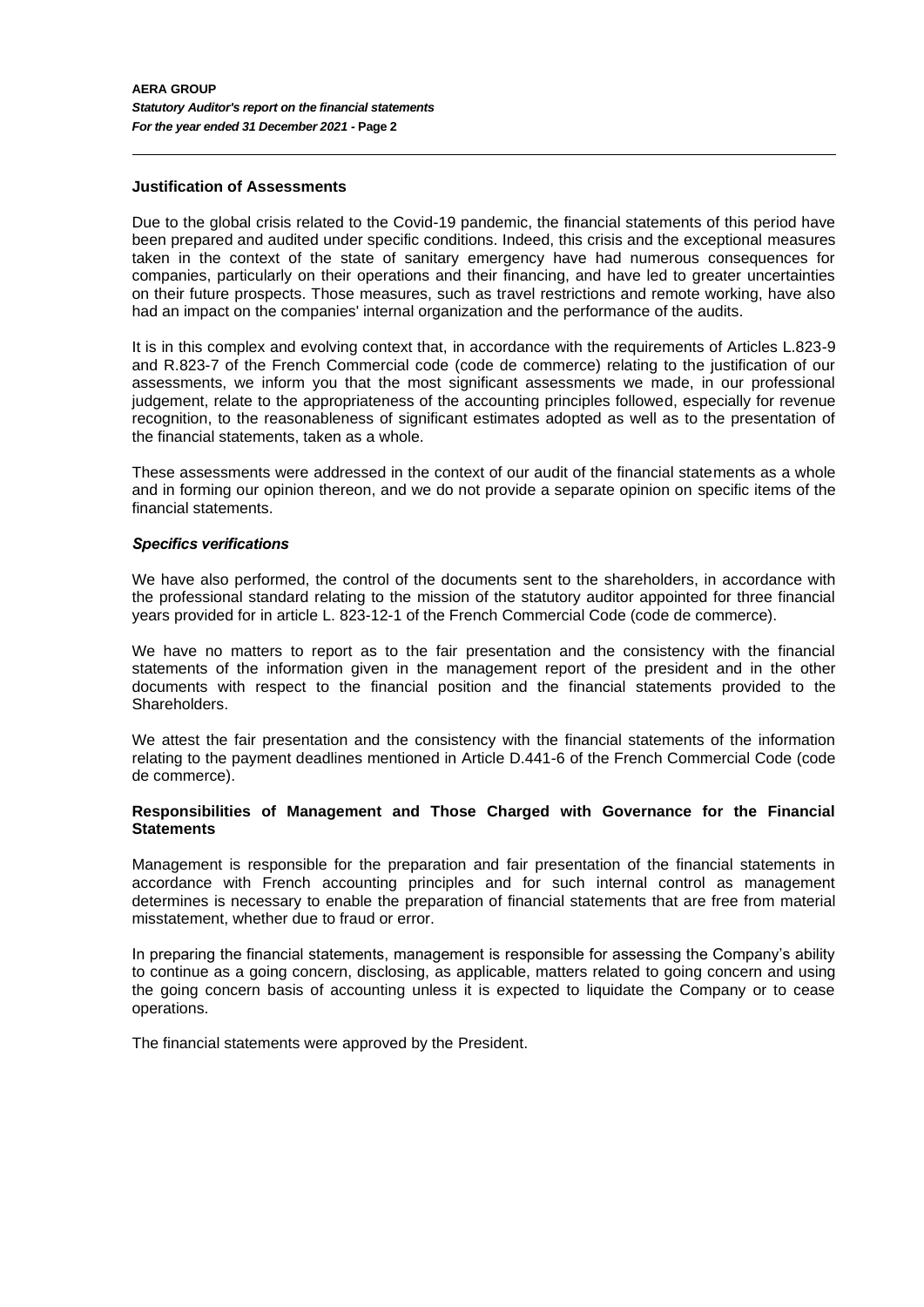#### **Justification of Assessments**

Due to the global crisis related to the Covid-19 pandemic, the financial statements of this period have been prepared and audited under specific conditions. Indeed, this crisis and the exceptional measures taken in the context of the state of sanitary emergency have had numerous consequences for companies, particularly on their operations and their financing, and have led to greater uncertainties on their future prospects. Those measures, such as travel restrictions and remote working, have also had an impact on the companies' internal organization and the performance of the audits.

It is in this complex and evolving context that, in accordance with the requirements of Articles L.823-9 and R.823-7 of the French Commercial code (code de commerce) relating to the justification of our assessments, we inform you that the most significant assessments we made, in our professional judgement, relate to the appropriateness of the accounting principles followed, especially for revenue recognition, to the reasonableness of significant estimates adopted as well as to the presentation of the financial statements, taken as a whole.

These assessments were addressed in the context of our audit of the financial statements as a whole and in forming our opinion thereon, and we do not provide a separate opinion on specific items of the financial statements.

#### *Specifics verifications*

We have also performed, the control of the documents sent to the shareholders, in accordance with the professional standard relating to the mission of the statutory auditor appointed for three financial years provided for in article L. 823-12-1 of the French Commercial Code (code de commerce).

We have no matters to report as to the fair presentation and the consistency with the financial statements of the information given in the management report of the president and in the other documents with respect to the financial position and the financial statements provided to the Shareholders.

We attest the fair presentation and the consistency with the financial statements of the information relating to the payment deadlines mentioned in Article D.441-6 of the French Commercial Code (code de commerce).

#### **Responsibilities of Management and Those Charged with Governance for the Financial Statements**

Management is responsible for the preparation and fair presentation of the financial statements in accordance with French accounting principles and for such internal control as management determines is necessary to enable the preparation of financial statements that are free from material misstatement, whether due to fraud or error.

In preparing the financial statements, management is responsible for assessing the Company's ability to continue as a going concern, disclosing, as applicable, matters related to going concern and using the going concern basis of accounting unless it is expected to liquidate the Company or to cease operations.

The financial statements were approved by the President.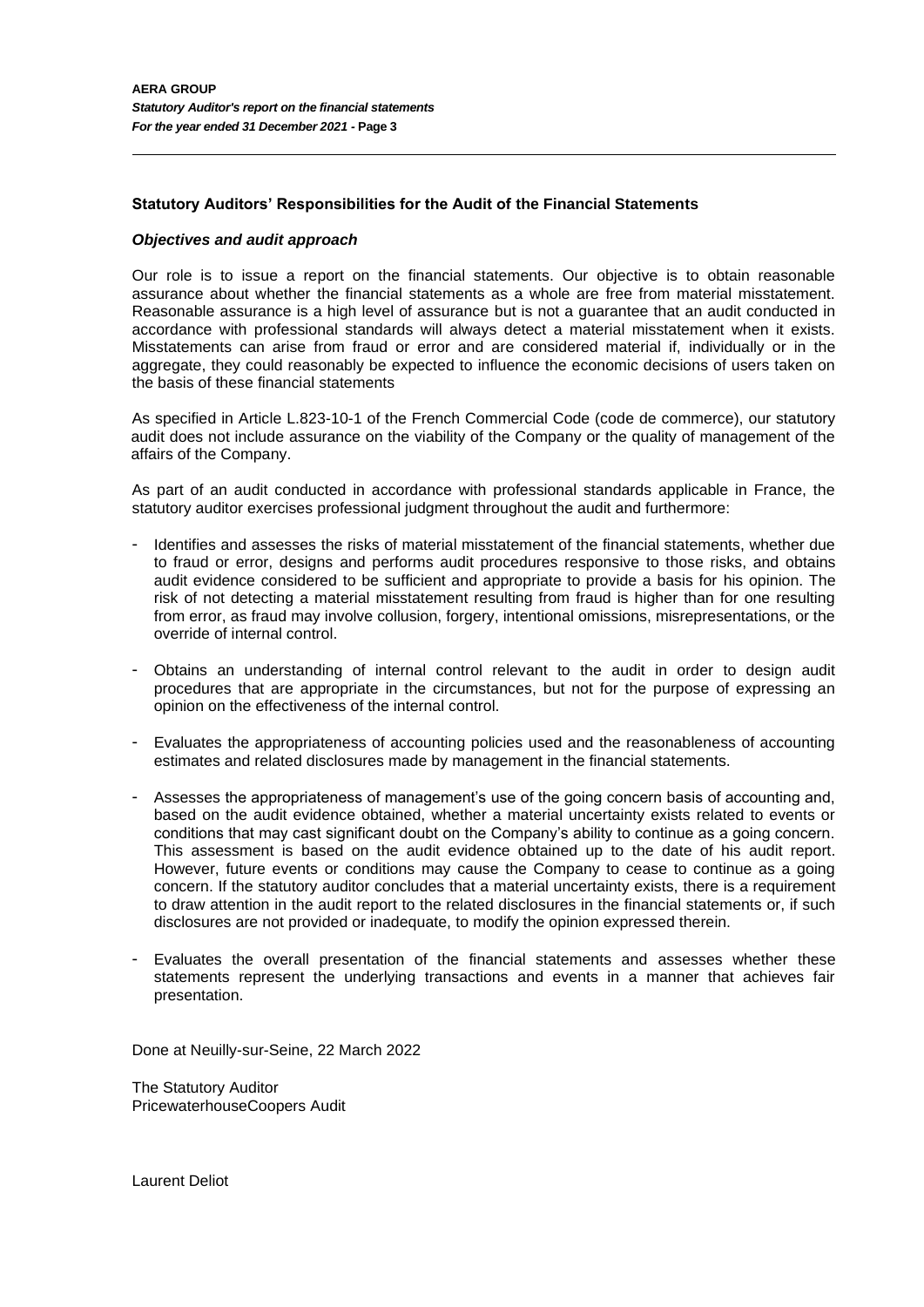#### **Statutory Auditors' Responsibilities for the Audit of the Financial Statements**

#### *Objectives and audit approach*

Our role is to issue a report on the financial statements. Our objective is to obtain reasonable assurance about whether the financial statements as a whole are free from material misstatement. Reasonable assurance is a high level of assurance but is not a guarantee that an audit conducted in accordance with professional standards will always detect a material misstatement when it exists. Misstatements can arise from fraud or error and are considered material if, individually or in the aggregate, they could reasonably be expected to influence the economic decisions of users taken on the basis of these financial statements

As specified in Article L.823-10-1 of the French Commercial Code (code de commerce), our statutory audit does not include assurance on the viability of the Company or the quality of management of the affairs of the Company.

As part of an audit conducted in accordance with professional standards applicable in France, the statutory auditor exercises professional judgment throughout the audit and furthermore:

- Identifies and assesses the risks of material misstatement of the financial statements, whether due to fraud or error, designs and performs audit procedures responsive to those risks, and obtains audit evidence considered to be sufficient and appropriate to provide a basis for his opinion. The risk of not detecting a material misstatement resulting from fraud is higher than for one resulting from error, as fraud may involve collusion, forgery, intentional omissions, misrepresentations, or the override of internal control.
- Obtains an understanding of internal control relevant to the audit in order to design audit procedures that are appropriate in the circumstances, but not for the purpose of expressing an opinion on the effectiveness of the internal control.
- Evaluates the appropriateness of accounting policies used and the reasonableness of accounting estimates and related disclosures made by management in the financial statements.
- Assesses the appropriateness of management's use of the going concern basis of accounting and, based on the audit evidence obtained, whether a material uncertainty exists related to events or conditions that may cast significant doubt on the Company's ability to continue as a going concern. This assessment is based on the audit evidence obtained up to the date of his audit report. However, future events or conditions may cause the Company to cease to continue as a going concern. If the statutory auditor concludes that a material uncertainty exists, there is a requirement to draw attention in the audit report to the related disclosures in the financial statements or, if such disclosures are not provided or inadequate, to modify the opinion expressed therein.
- Evaluates the overall presentation of the financial statements and assesses whether these statements represent the underlying transactions and events in a manner that achieves fair presentation.

Done at Neuilly-sur-Seine, 22 March 2022

The Statutory Auditor PricewaterhouseCoopers Audit

Laurent Deliot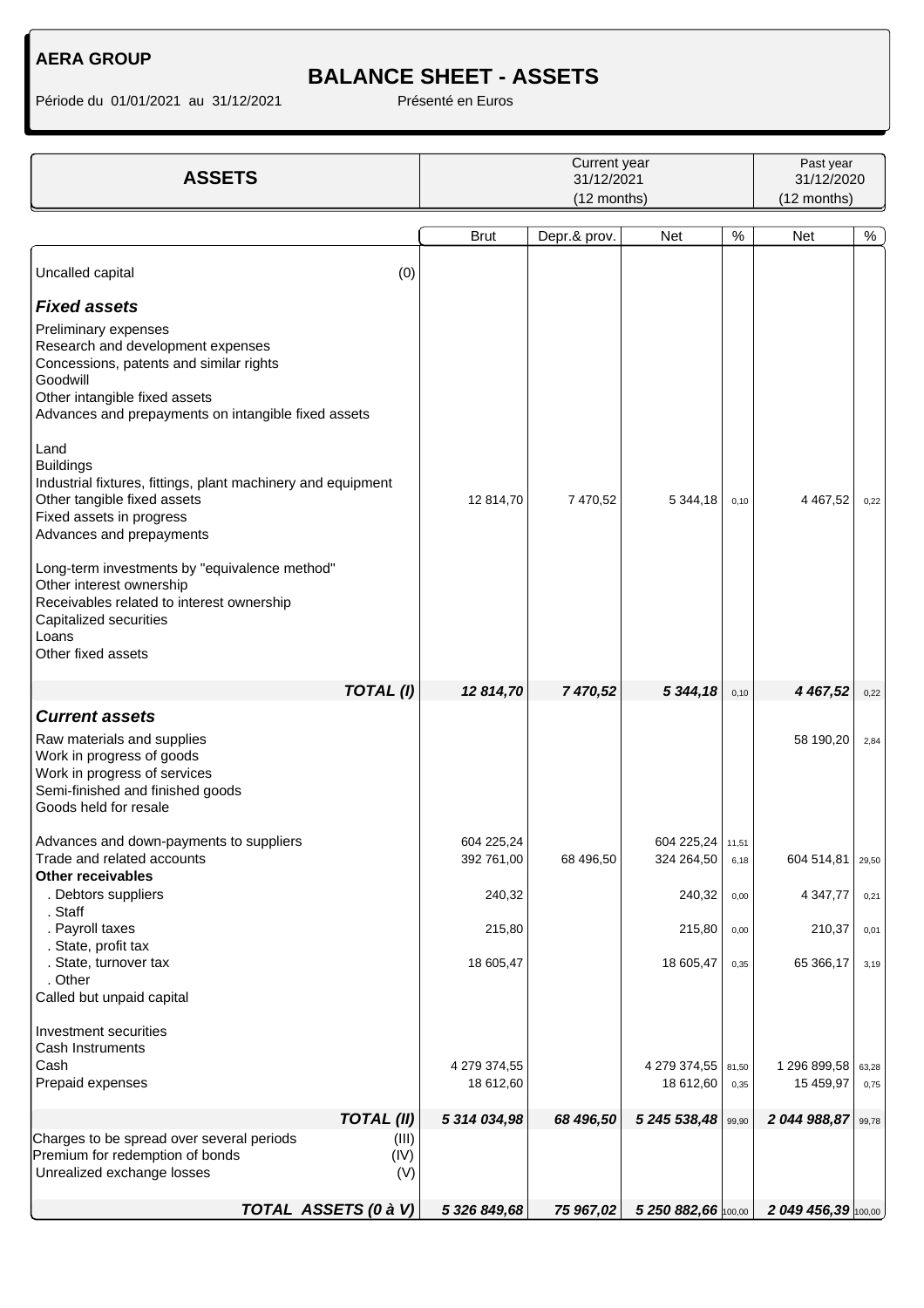# **BALANCE SHEET - ASSETS**

| <b>ASSETS</b>                                                                                                                                                                                            |                      | Current year<br>31/12/2021<br>(12 months) |              |                                  |               | Past year<br>31/12/2020<br>(12 months) |               |  |
|----------------------------------------------------------------------------------------------------------------------------------------------------------------------------------------------------------|----------------------|-------------------------------------------|--------------|----------------------------------|---------------|----------------------------------------|---------------|--|
|                                                                                                                                                                                                          |                      | <b>Brut</b>                               | Depr.& prov. | <b>Net</b>                       | $\%$          | <b>Net</b>                             | %             |  |
| Uncalled capital                                                                                                                                                                                         | (0)                  |                                           |              |                                  |               |                                        |               |  |
| <b>Fixed assets</b>                                                                                                                                                                                      |                      |                                           |              |                                  |               |                                        |               |  |
| Preliminary expenses<br>Research and development expenses<br>Concessions, patents and similar rights<br>Goodwill<br>Other intangible fixed assets<br>Advances and prepayments on intangible fixed assets |                      |                                           |              |                                  |               |                                        |               |  |
| Land<br><b>Buildings</b><br>Industrial fixtures, fittings, plant machinery and equipment<br>Other tangible fixed assets<br>Fixed assets in progress<br>Advances and prepayments                          |                      | 12 814,70                                 | 7 470,52     | 5 344,18                         | 0,10          | 4 4 6 7, 5 2                           | 0,22          |  |
| Long-term investments by "equivalence method"<br>Other interest ownership<br>Receivables related to interest ownership<br>Capitalized securities<br>Loans<br>Other fixed assets                          |                      |                                           |              |                                  |               |                                        |               |  |
|                                                                                                                                                                                                          | TOTAL(I)             | 12 814,70                                 | 7 470,52     | 5 344,18                         | 0,10          | 4 467,52                               | 0,22          |  |
| <b>Current assets</b>                                                                                                                                                                                    |                      |                                           |              |                                  |               |                                        |               |  |
| Raw materials and supplies<br>Work in progress of goods<br>Work in progress of services<br>Semi-finished and finished goods<br>Goods held for resale                                                     |                      |                                           |              |                                  |               | 58 190,20                              | 2,84          |  |
| Advances and down-payments to suppliers<br>Trade and related accounts<br><b>Other receivables</b>                                                                                                        |                      | 604 225,24<br>392 761,00                  | 68 496,50    | 604 225,24   11,51<br>324 264,50 | 6,18          | 604 514,81                             | 29,50         |  |
| . Debtors suppliers<br>. Staff                                                                                                                                                                           |                      | 240,32                                    |              | 240,32                           | 0,00          | 4 3 4 7, 7 7                           | 0,21          |  |
| . Payroll taxes<br>. State, profit tax                                                                                                                                                                   |                      | 215,80                                    |              | 215,80                           | 0,00          | 210,37                                 | 0,01          |  |
| . State, turnover tax<br>. Other<br>Called but unpaid capital                                                                                                                                            |                      | 18 605,47                                 |              | 18 605,47                        | 0,35          | 65 366,17                              | 3,19          |  |
| Investment securities<br>Cash Instruments<br>Cash<br>Prepaid expenses                                                                                                                                    |                      | 4 279 374,55<br>18 612,60                 |              | 4 279 374,55<br>18 612,60        | 81,50<br>0,35 | 1 296 899,58<br>15 459,97              | 63,28<br>0,75 |  |
|                                                                                                                                                                                                          | <b>TOTAL (II)</b>    | 5 314 034,98                              | 68 496,50    | 5 245 538,48                     | 99,90         | 2 044 988,87                           | 99,78         |  |
| Charges to be spread over several periods<br>Premium for redemption of bonds<br>Unrealized exchange losses                                                                                               | (III)<br>(IV)<br>(V) |                                           |              |                                  |               |                                        |               |  |
| TOTAL ASSETS (0 à V)                                                                                                                                                                                     |                      | 5 326 849,68                              | 75 967,02    | 5 250 882,66 100,00              |               | 2 049 456,39 100,00                    |               |  |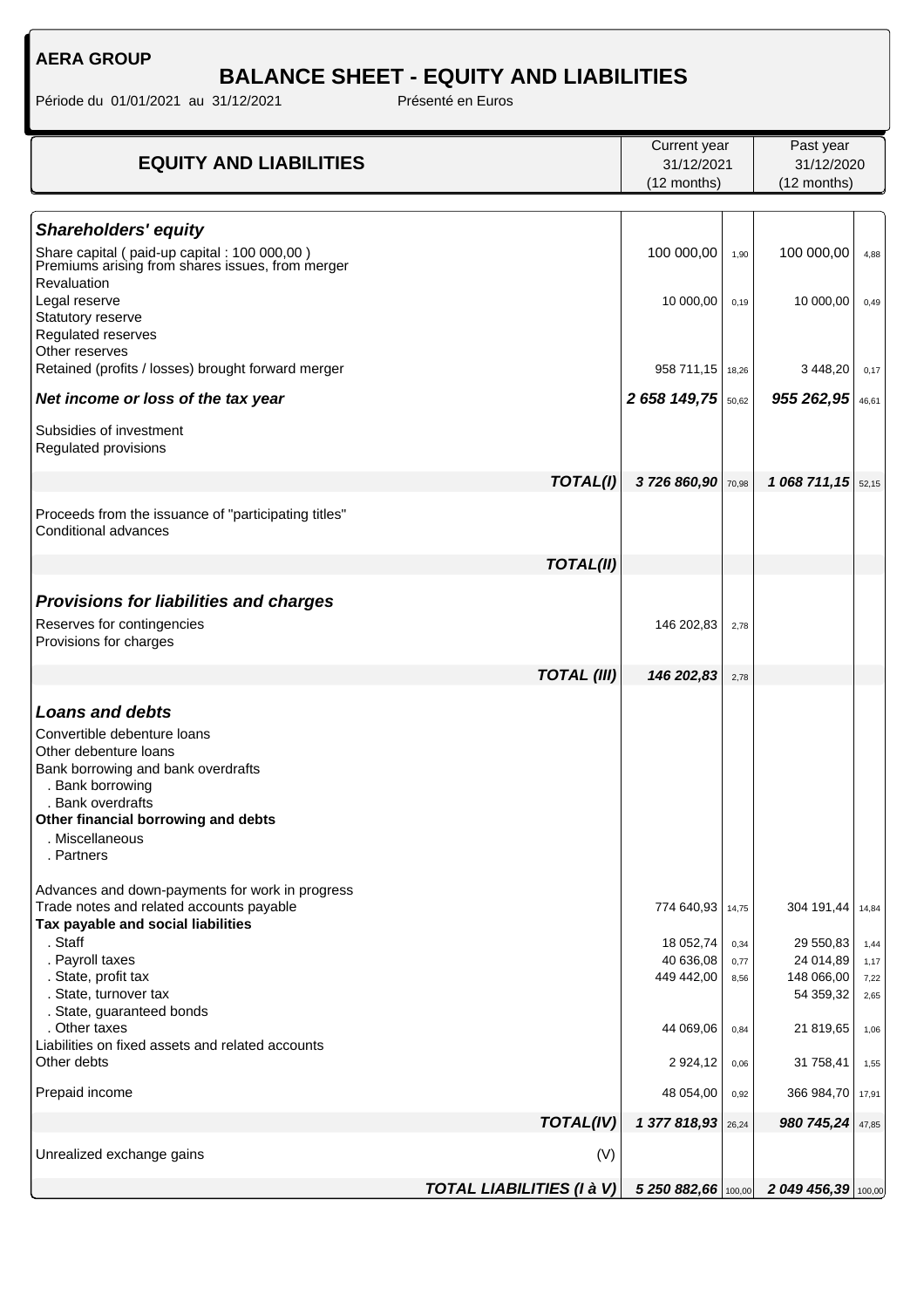# **BALANCE SHEET - EQUITY AND LIABILITIES**

| <b>EQUITY AND LIABILITIES</b>                                                                   |                                  | Current year        |       | Past year             |       |
|-------------------------------------------------------------------------------------------------|----------------------------------|---------------------|-------|-----------------------|-------|
|                                                                                                 |                                  | 31/12/2021          |       | 31/12/2020            |       |
|                                                                                                 |                                  | (12 months)         |       | (12 months)           |       |
|                                                                                                 |                                  |                     |       |                       |       |
| <b>Shareholders' equity</b>                                                                     |                                  |                     |       |                       |       |
| Share capital (paid-up capital: 100 000,00)<br>Premiums arising from shares issues, from merger |                                  | 100 000,00          | 1,90  | 100 000,00            | 4,88  |
| Revaluation<br>Legal reserve                                                                    |                                  | 10 000,00           | 0,19  | 10 000,00             | 0,49  |
| Statutory reserve<br>Regulated reserves                                                         |                                  |                     |       |                       |       |
| Other reserves<br>Retained (profits / losses) brought forward merger                            |                                  | 958 711,15 18,26    |       | 3 448,20              | 0,17  |
| Net income or loss of the tax year                                                              |                                  | 2 658 149,75        | 50,62 | 955 262,95            | 46,61 |
| Subsidies of investment<br>Regulated provisions                                                 |                                  |                     |       |                       |       |
|                                                                                                 | TOTAL(I)                         | 3726860,90 70,98    |       | 1 068 711, 15 $52,15$ |       |
| Proceeds from the issuance of "participating titles"<br>Conditional advances                    |                                  |                     |       |                       |       |
|                                                                                                 | <b>TOTAL(II)</b>                 |                     |       |                       |       |
|                                                                                                 |                                  |                     |       |                       |       |
| <b>Provisions for liabilities and charges</b>                                                   |                                  |                     |       |                       |       |
| Reserves for contingencies<br>Provisions for charges                                            |                                  | 146 202,83          | 2,78  |                       |       |
|                                                                                                 | <b>TOTAL (III)</b>               | 146 202,83          | 2,78  |                       |       |
| <b>Loans and debts</b>                                                                          |                                  |                     |       |                       |       |
| Convertible debenture loans                                                                     |                                  |                     |       |                       |       |
| Other debenture loans                                                                           |                                  |                     |       |                       |       |
| Bank borrowing and bank overdrafts                                                              |                                  |                     |       |                       |       |
| . Bank borrowing                                                                                |                                  |                     |       |                       |       |
| . Bank overdrafts                                                                               |                                  |                     |       |                       |       |
| Other financial borrowing and debts<br>. Miscellaneous                                          |                                  |                     |       |                       |       |
| . Partners                                                                                      |                                  |                     |       |                       |       |
| Advances and down-payments for work in progress                                                 |                                  |                     |       |                       |       |
| Trade notes and related accounts payable<br>Tax payable and social liabilities                  |                                  | 774 640,93          | 14,75 | 304 191,44 14,84      |       |
| . Staff                                                                                         |                                  | 18 052,74           | 0,34  | 29 550,83             | 1,44  |
| . Payroll taxes                                                                                 |                                  | 40 636,08           | 0,77  | 24 014,89             | 1,17  |
| . State, profit tax                                                                             |                                  | 449 442,00          | 8,56  | 148 066,00            | 7,22  |
| . State, turnover tax<br>. State, guaranteed bonds                                              |                                  |                     |       | 54 359,32             | 2,65  |
| . Other taxes                                                                                   |                                  | 44 069,06           | 0,84  | 21 819,65             | 1,06  |
| Liabilities on fixed assets and related accounts                                                |                                  |                     |       |                       |       |
| Other debts                                                                                     |                                  | 2 9 24, 12          | 0,06  | 31 758,41             | 1,55  |
| Prepaid income                                                                                  |                                  | 48 054,00           | 0,92  | 366 984,70            | 17,91 |
|                                                                                                 | TOTAL(IV)                        | 1377818,93          | 26,24 | 980 745,24            | 47,85 |
| Unrealized exchange gains                                                                       | (V)                              |                     |       |                       |       |
|                                                                                                 | <b>TOTAL LIABILITIES (I à V)</b> | 5 250 882,66 100,00 |       | 2 049 456,39 100,00   |       |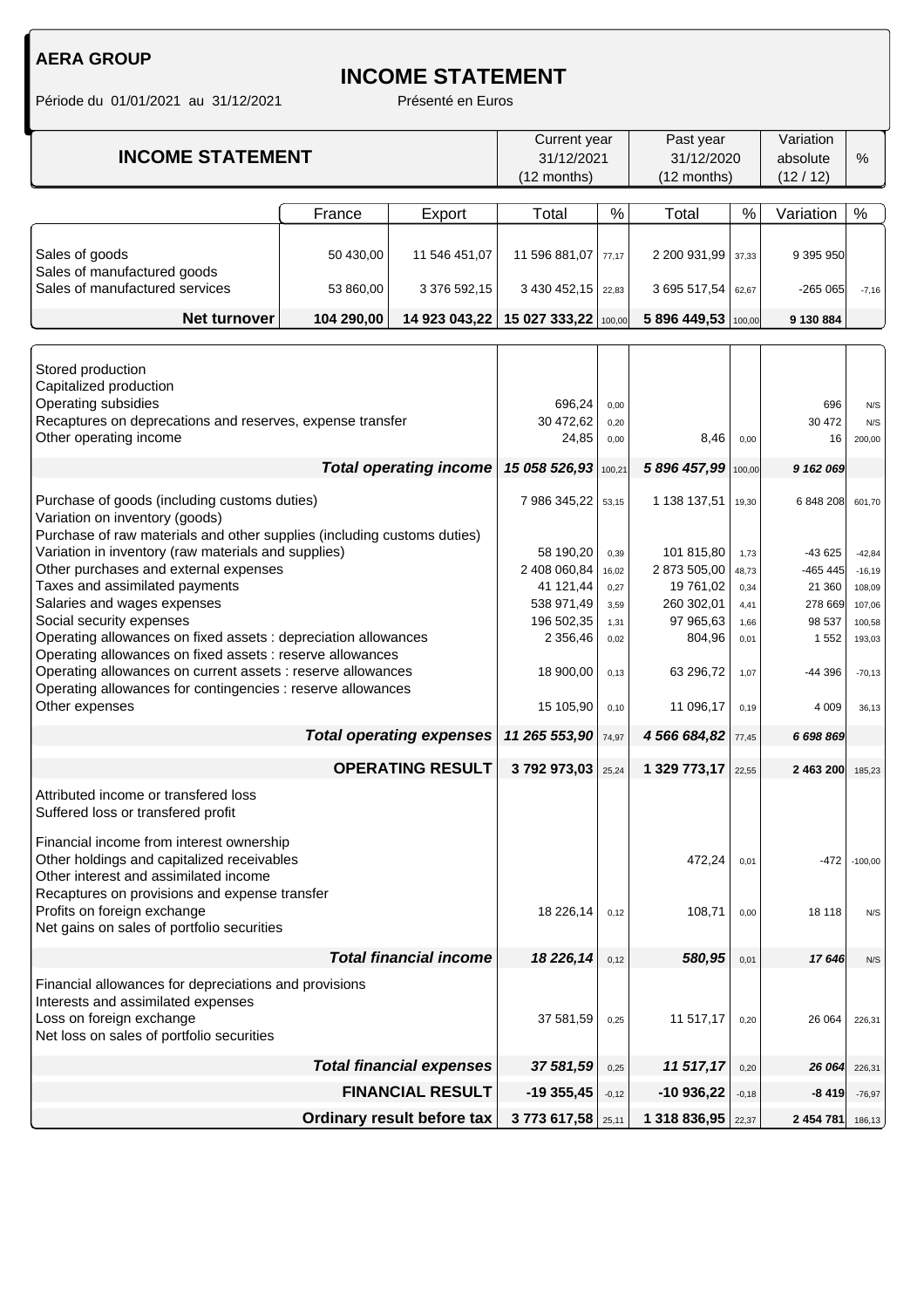## **INCOME STATEMENT**

|                                                                                            |            |                                 |                        | Current year<br>Past year |                     | Variation    |                |                  |
|--------------------------------------------------------------------------------------------|------------|---------------------------------|------------------------|---------------------------|---------------------|--------------|----------------|------------------|
| <b>INCOME STATEMENT</b>                                                                    |            |                                 |                        | 31/12/2021<br>31/12/2020  |                     | absolute     | %              |                  |
|                                                                                            |            |                                 | (12 months)            |                           | (12 months)         |              | (12/12)        |                  |
|                                                                                            |            |                                 |                        |                           |                     |              |                |                  |
|                                                                                            | France     | Export                          | Total                  | $\%$                      | Total               | %            | Variation      | $\frac{0}{0}$    |
|                                                                                            |            |                                 |                        |                           |                     |              |                |                  |
| Sales of goods                                                                             | 50 430,00  | 11 546 451,07                   | 11 596 881,07          | 77,17                     | 2 200 931,99        | 37,33        | 9 395 950      |                  |
| Sales of manufactured goods                                                                |            |                                 |                        |                           |                     |              |                |                  |
| Sales of manufactured services                                                             | 53 860,00  | 3 376 592,15                    | 3 430 452,15 22,83     |                           | 3 695 517,54        | 62,67        | $-265065$      | $-7,16$          |
| Net turnover                                                                               | 104 290,00 | 14 923 043,22                   | 15 027 333,22 100,00   |                           | 5 896 449,53        | 100,00       | 9 130 884      |                  |
|                                                                                            |            |                                 |                        |                           |                     |              |                |                  |
|                                                                                            |            |                                 |                        |                           |                     |              |                |                  |
| Stored production                                                                          |            |                                 |                        |                           |                     |              |                |                  |
| Capitalized production                                                                     |            |                                 |                        |                           |                     |              |                |                  |
| Operating subsidies<br>Recaptures on deprecations and reserves, expense transfer           |            |                                 | 696,24<br>30 472,62    | 0,00<br>0,20              |                     |              | 696<br>30 472  | N/S<br>N/S       |
| Other operating income                                                                     |            |                                 | 24,85                  | 0,00                      | 8,46                | 0,00         | 16             | 200,00           |
|                                                                                            |            |                                 |                        |                           |                     |              |                |                  |
|                                                                                            |            | <b>Total operating income</b>   | 15 058 526,93          | 100,21                    | 5 896 457,99        | 100,00       | 9 162 069      |                  |
| Purchase of goods (including customs duties)                                               |            |                                 | 7 986 345,22           | 53,15                     | 1 138 137,51        | 19,30        | 6 848 208      | 601,70           |
| Variation on inventory (goods)                                                             |            |                                 |                        |                           |                     |              |                |                  |
| Purchase of raw materials and other supplies (including customs duties)                    |            |                                 |                        |                           |                     |              |                |                  |
| Variation in inventory (raw materials and supplies)                                        |            |                                 | 58 190,20              | 0,39                      | 101 815,80          | 1,73         | -43 625        | $-42,84$         |
| Other purchases and external expenses                                                      |            |                                 | 2 408 060,84           | 16,02                     | 2 873 505,00        | 48,73        | -465 445       | $-16, 19$        |
| Taxes and assimilated payments                                                             |            |                                 | 41 121,44              | 0,27                      | 19 761,02           | 0,34         | 21 360         | 108,09           |
| Salaries and wages expenses                                                                |            |                                 | 538 971,49             | 3,59                      | 260 302,01          | 4,41         | 278 669        | 107,06           |
| Social security expenses<br>Operating allowances on fixed assets : depreciation allowances |            |                                 | 196 502,35<br>2 356,46 | 1,31<br>0,02              | 97 965,63<br>804,96 | 1,66<br>0,01 | 98 537<br>1552 | 100,58<br>193,03 |
| Operating allowances on fixed assets : reserve allowances                                  |            |                                 |                        |                           |                     |              |                |                  |
| Operating allowances on current assets : reserve allowances                                |            |                                 | 18 900,00              | 0,13                      | 63 296,72           | 1,07         | -44 396        | $-70,13$         |
| Operating allowances for contingencies : reserve allowances                                |            |                                 |                        |                           |                     |              |                |                  |
| Other expenses                                                                             |            |                                 | 15 105,90              | 0,10                      | 11 096,17           | 0,19         | 4 0 0 9        | 36,13            |
| <b>Total operating expenses</b>                                                            |            |                                 | 11 265 553,90          | 74,97                     | 4 566 684,82        | 77,45        | 6 698 869      |                  |
| <b>OPERATING RESULT</b>                                                                    |            | 3792973,03                      | 25,24                  | 1 329 773,17              | 22,55               | 2 463 200    | 185,23         |                  |
|                                                                                            |            |                                 |                        |                           |                     |              |                |                  |
| Attributed income or transfered loss                                                       |            |                                 |                        |                           |                     |              |                |                  |
| Suffered loss or transfered profit                                                         |            |                                 |                        |                           |                     |              |                |                  |
| Financial income from interest ownership                                                   |            |                                 |                        |                           |                     |              |                |                  |
| Other holdings and capitalized receivables<br>Other interest and assimilated income        |            |                                 |                        |                           | 472,24              | 0,01         | -472           | $-100,00$        |
|                                                                                            |            |                                 |                        |                           |                     |              |                |                  |
| Recaptures on provisions and expense transfer                                              |            |                                 |                        |                           |                     |              |                |                  |
| Profits on foreign exchange<br>Net gains on sales of portfolio securities                  |            |                                 | 18 226,14              | 0,12                      | 108,71              | 0,00         | 18 118         | N/S              |
|                                                                                            |            |                                 |                        |                           |                     |              |                |                  |
| <b>Total financial income</b>                                                              |            |                                 | 18 226,14              | 0,12                      | 580,95              | 0,01         | 17646          | N/S              |
| Financial allowances for depreciations and provisions                                      |            |                                 |                        |                           |                     |              |                |                  |
| Interests and assimilated expenses                                                         |            |                                 |                        |                           |                     |              |                |                  |
| Loss on foreign exchange                                                                   |            |                                 | 37 581,59              | 0,25                      | 11 517,17           | 0,20         | 26 064         | 226,31           |
| Net loss on sales of portfolio securities                                                  |            |                                 |                        |                           |                     |              |                |                  |
|                                                                                            |            | <b>Total financial expenses</b> | 37 581,59              | 0,25                      | 11 517,17           | 0,20         | 26 064         | 226,31           |
| <b>FINANCIAL RESULT</b>                                                                    |            |                                 | $-19355,45$            | $-0,12$                   | $-10936,22$         | $-0,18$      | $-8419$        | $-76,97$         |
|                                                                                            |            | Ordinary result before tax      | 3 773 617,58 25,11     |                           | 1 318 836,95        | 22,37        | 2 454 781      | 186,13           |